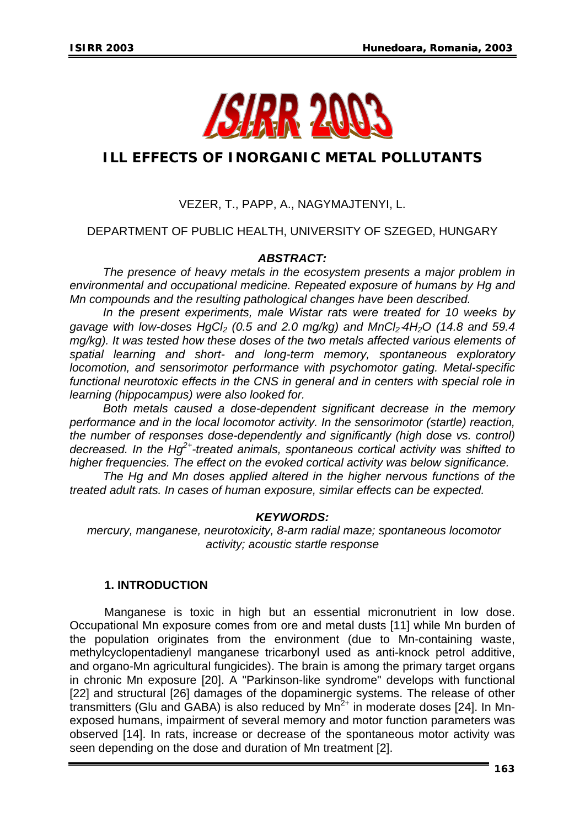

# **ILL EFFECTS OF INORGANIC METAL POLLUTANTS**

## VEZER, T., PAPP, A., NAGYMAJTENYI, L.

### DEPARTMENT OF PUBLIC HEALTH, UNIVERSITY OF SZEGED, HUNGARY

### *ABSTRACT:*

*The presence of heavy metals in the ecosystem presents a major problem in environmental and occupational medicine. Repeated exposure of humans by Hg and Mn compounds and the resulting pathological changes have been described.* 

*In the present experiments, male Wistar rats were treated for 10 weeks by*  gavage with low-doses HgCl<sub>2</sub> (0.5 and 2.0 mg/kg) and MnCl<sub>2</sub>⋅4H<sub>2</sub>O (14.8 and 59.4 *mg/kg). It was tested how these doses of the two metals affected various elements of spatial learning and short- and long-term memory, spontaneous exploratory locomotion, and sensorimotor performance with psychomotor gating. Metal-specific functional neurotoxic effects in the CNS in general and in centers with special role in learning (hippocampus) were also looked for.* 

*Both metals caused a dose-dependent significant decrease in the memory performance and in the local locomotor activity. In the sensorimotor (startle) reaction, the number of responses dose-dependently and significantly (high dose vs. control) decreased. In the Hg2+-treated animals, spontaneous cortical activity was shifted to higher frequencies. The effect on the evoked cortical activity was below significance.* 

*The Hg and Mn doses applied altered in the higher nervous functions of the treated adult rats. In cases of human exposure, similar effects can be expected.* 

#### *KEYWORDS:*

*mercury, manganese, neurotoxicity, 8-arm radial maze; spontaneous locomotor activity; acoustic startle response* 

#### **1. INTRODUCTION**

Manganese is toxic in high but an essential micronutrient in low dose. Occupational Mn exposure comes from ore and metal dusts [11] while Mn burden of the population originates from the environment (due to Mn-containing waste, methylcyclopentadienyl manganese tricarbonyl used as anti-knock petrol additive, and organo-Mn agricultural fungicides). The brain is among the primary target organs in chronic Mn exposure [20]. A "Parkinson-like syndrome" develops with functional [22] and structural [26] damages of the dopaminergic systems. The release of other transmitters (Glu and GABA) is also reduced by  $Mn^{2+}$  in moderate doses [24]. In Mnexposed humans, impairment of several memory and motor function parameters was observed [14]. In rats, increase or decrease of the spontaneous motor activity was seen depending on the dose and duration of Mn treatment [2].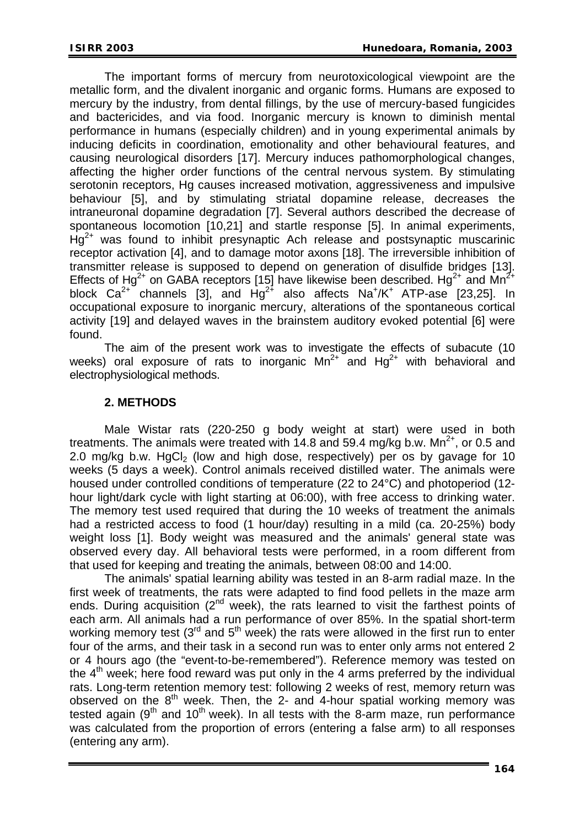The important forms of mercury from neurotoxicological viewpoint are the metallic form, and the divalent inorganic and organic forms. Humans are exposed to mercury by the industry, from dental fillings, by the use of mercury-based fungicides and bactericides, and via food. Inorganic mercury is known to diminish mental performance in humans (especially children) and in young experimental animals by inducing deficits in coordination, emotionality and other behavioural features, and causing neurological disorders [17]. Mercury induces pathomorphological changes, affecting the higher order functions of the central nervous system. By stimulating serotonin receptors, Hg causes increased motivation, aggressiveness and impulsive behaviour [5], and by stimulating striatal dopamine release, decreases the intraneuronal dopamine degradation [7]. Several authors described the decrease of spontaneous locomotion [10,21] and startle response [5]. In animal experiments,  $Hq^{2+}$  was found to inhibit presynaptic Ach release and postsynaptic muscarinic receptor activation [4], and to damage motor axons [18]. The irreversible inhibition of transmitter release is supposed to depend on generation of disulfide bridges [13]. Effects of Hg<sup>2+</sup> on GABA receptors [15] have likewise been described. Hg<sup>2+</sup> and Mn<sup>2+</sup> block  $Ca^{2+}$  channels [3], and  $Hg^{2+}$  also affects  $Na^{+}/K^{+}$  ATP-ase [23,25]. In occupational exposure to inorganic mercury, alterations of the spontaneous cortical activity [19] and delayed waves in the brainstem auditory evoked potential [6] were found.

The aim of the present work was to investigate the effects of subacute (10 weeks) oral exposure of rats to inorganic  $Mn^{2+}$  and  $Hq^{2+}$  with behavioral and electrophysiological methods.

### **2. METHODS**

Male Wistar rats (220-250 g body weight at start) were used in both treatments. The animals were treated with 14.8 and 59.4 mg/kg b.w.  $Mn^{2+}$ , or 0.5 and 2.0 mg/kg b.w.  $HgCl<sub>2</sub>$  (low and high dose, respectively) per os by gavage for 10 weeks (5 days a week). Control animals received distilled water. The animals were housed under controlled conditions of temperature (22 to 24°C) and photoperiod (12 hour light/dark cycle with light starting at 06:00), with free access to drinking water. The memory test used required that during the 10 weeks of treatment the animals had a restricted access to food (1 hour/day) resulting in a mild (ca. 20-25%) body weight loss [1]. Body weight was measured and the animals' general state was observed every day. All behavioral tests were performed, in a room different from that used for keeping and treating the animals, between 08:00 and 14:00.

The animals' spatial learning ability was tested in an 8-arm radial maze. In the first week of treatments, the rats were adapted to find food pellets in the maze arm ends. During acquisition  $(2^{nd}$  week), the rats learned to visit the farthest points of each arm. All animals had a run performance of over 85%. In the spatial short-term working memory test ( $3<sup>rd</sup>$  and  $5<sup>th</sup>$  week) the rats were allowed in the first run to enter four of the arms, and their task in a second run was to enter only arms not entered 2 or 4 hours ago (the "event-to-be-remembered"). Reference memory was tested on the  $4<sup>th</sup>$  week; here food reward was put only in the 4 arms preferred by the individual rats. Long-term retention memory test: following 2 weeks of rest, memory return was observed on the  $8<sup>th</sup>$  week. Then, the 2- and 4-hour spatial working memory was tested again ( $9<sup>th</sup>$  and  $10<sup>th</sup>$  week). In all tests with the 8-arm maze, run performance was calculated from the proportion of errors (entering a false arm) to all responses (entering any arm).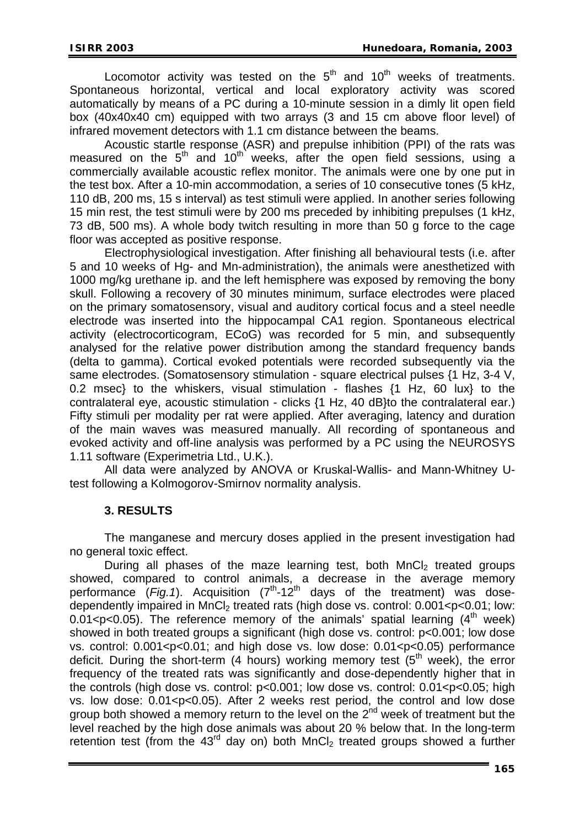Locomotor activity was tested on the  $5<sup>th</sup>$  and  $10<sup>th</sup>$  weeks of treatments. Spontaneous horizontal, vertical and local exploratory activity was scored automatically by means of a PC during a 10-minute session in a dimly lit open field box (40x40x40 cm) equipped with two arrays (3 and 15 cm above floor level) of infrared movement detectors with 1.1 cm distance between the beams.

Acoustic startle response (ASR) and prepulse inhibition (PPI) of the rats was measured on the  $5<sup>th</sup>$  and  $10<sup>th</sup>$  weeks, after the open field sessions, using a commercially available acoustic reflex monitor. The animals were one by one put in the test box. After a 10-min accommodation, a series of 10 consecutive tones (5 kHz, 110 dB, 200 ms, 15 s interval) as test stimuli were applied. In another series following 15 min rest, the test stimuli were by 200 ms preceded by inhibiting prepulses (1 kHz, 73 dB, 500 ms). A whole body twitch resulting in more than 50 g force to the cage floor was accepted as positive response.

Electrophysiological investigation. After finishing all behavioural tests (i.e. after 5 and 10 weeks of Hg- and Mn-administration), the animals were anesthetized with 1000 mg/kg urethane ip. and the left hemisphere was exposed by removing the bony skull. Following a recovery of 30 minutes minimum, surface electrodes were placed on the primary somatosensory, visual and auditory cortical focus and a steel needle electrode was inserted into the hippocampal CA1 region. Spontaneous electrical activity (electrocorticogram, ECoG) was recorded for 5 min, and subsequently analysed for the relative power distribution among the standard frequency bands (delta to gamma). Cortical evoked potentials were recorded subsequently via the same electrodes. (Somatosensory stimulation - square electrical pulses {1 Hz, 3-4 V, 0.2 msec} to the whiskers, visual stimulation - flashes {1 Hz, 60 lux} to the contralateral eye, acoustic stimulation - clicks {1 Hz, 40 dB}to the contralateral ear.) Fifty stimuli per modality per rat were applied. After averaging, latency and duration of the main waves was measured manually. All recording of spontaneous and evoked activity and off-line analysis was performed by a PC using the NEUROSYS 1.11 software (Experimetria Ltd., U.K.).

All data were analyzed by ANOVA or Kruskal-Wallis- and Mann-Whitney Utest following a Kolmogorov-Smirnov normality analysis.

#### **3. RESULTS**

The manganese and mercury doses applied in the present investigation had no general toxic effect.

During all phases of the maze learning test, both MnCl<sub>2</sub> treated groups showed, compared to control animals, a decrease in the average memory performance (*Fig.1*). Acquisition (7<sup>th</sup>-12<sup>th</sup> days of the treatment) was dosedependently impaired in  $MnCl<sub>2</sub>$  treated rats (high dose vs. control:  $0.001 < p < 0.01$ ; low: 0.01<p $<$ 0.05). The reference memory of the animals' spatial learning (4<sup>th</sup> week) showed in both treated groups a significant (high dose vs. control: p<0.001; low dose vs. control: 0.001<p<0.01; and high dose vs. low dose: 0.01<p<0.05) performance deficit. During the short-term (4 hours) working memory test ( $5<sup>th</sup>$  week), the error frequency of the treated rats was significantly and dose-dependently higher that in the controls (high dose vs. control:  $p<0.001$ ; low dose vs. control: 0.01<p $<0.05$ ; high vs. low dose:  $0.01 < p < 0.05$ ). After 2 weeks rest period, the control and low dose group both showed a memory return to the level on the  $2^{nd}$  week of treatment but the level reached by the high dose animals was about 20 % below that. In the long-term retention test (from the  $43<sup>rd</sup>$  day on) both MnCl<sub>2</sub> treated groups showed a further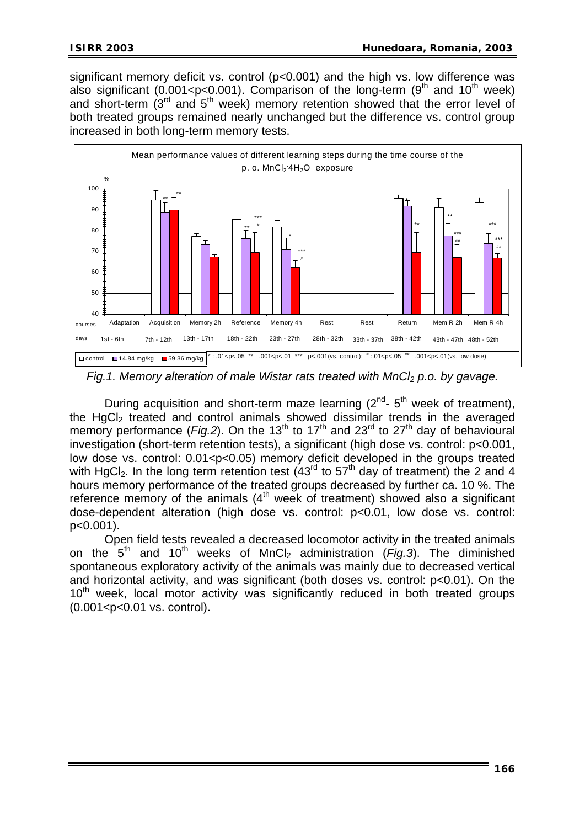significant memory deficit vs. control (p<0.001) and the high vs. low difference was also significant (0.001<p<0.001). Comparison of the long-term (9<sup>th</sup> and 10<sup>th</sup> week) and short-term  $(3<sup>rd</sup>$  and  $5<sup>th</sup>$  week) memory retention showed that the error level of both treated groups remained nearly unchanged but the difference vs. control group increased in both long-term memory tests.



*Fig.1. Memory alteration of male Wistar rats treated with MnCl<sub>2</sub> p.o. by gavage.* 

During acquisition and short-term maze learning  $(2^{nd} - 5^{th})$  week of treatment), the HgCl<sub>2</sub> treated and control animals showed dissimilar trends in the averaged memory performance (*Fig.2*). On the 13<sup>th</sup> to 17<sup>th</sup> and 23<sup>rd</sup> to 27<sup>th</sup> day of behavioural investigation (short-term retention tests), a significant (high dose vs. control: p<0.001, low dose vs. control: 0.01<p<0.05) memory deficit developed in the groups treated with HgCl<sub>2</sub>. In the long term retention test  $(43<sup>rd</sup>$  to  $57<sup>th</sup>$  day of treatment) the 2 and 4 hours memory performance of the treated groups decreased by further ca. 10 %. The reference memory of the animals  $(4<sup>th</sup>$  week of treatment) showed also a significant dose-dependent alteration (high dose vs. control: p<0.01, low dose vs. control: p<0.001).

Open field tests revealed a decreased locomotor activity in the treated animals on the  $5<sup>th</sup>$  and 10<sup>th</sup> weeks of MnCl<sub>2</sub> administration (*Fig.3*). The diminished spontaneous exploratory activity of the animals was mainly due to decreased vertical and horizontal activity, and was significant (both doses vs. control: p<0.01). On the 10<sup>th</sup> week, local motor activity was significantly reduced in both treated groups (0.001<p<0.01 vs. control).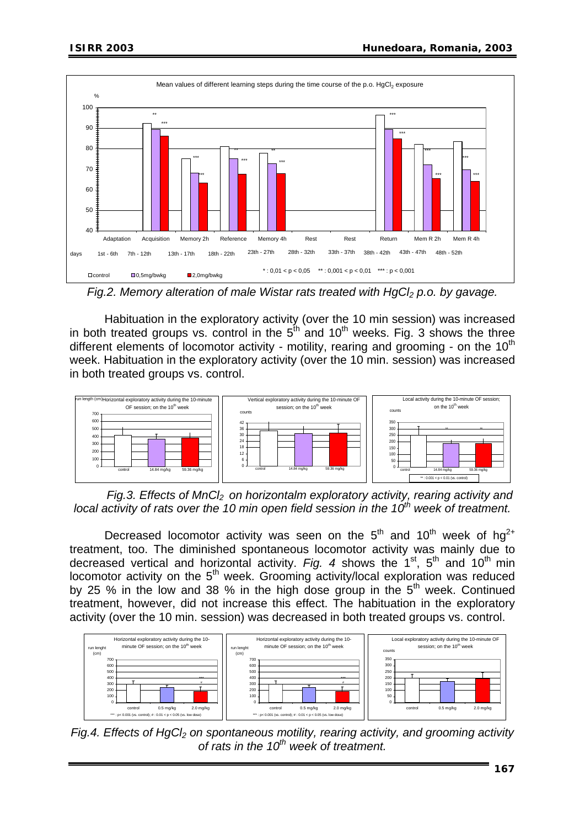

*Fig.2. Memory alteration of male Wistar rats treated with HgCl<sub>2</sub> p.o. by gavage.* 

Habituation in the exploratory activity (over the 10 min session) was increased in both treated groups vs. control in the  $5<sup>th</sup>$  and  $10<sup>th</sup>$  weeks. Fig. 3 shows the three different elements of locomotor activity - motility, rearing and grooming - on the  $10<sup>th</sup>$ week. Habituation in the exploratory activity (over the 10 min. session) was increased in both treated groups vs. control.



*Fig.3. Effects of MnCl2 on horizontalm exploratory activity, rearing activity and*  local activity of rats over the 10 min open field session in the 10<sup>th</sup> week of treatment.

Decreased locomotor activity was seen on the  $5<sup>th</sup>$  and  $10<sup>th</sup>$  week of hg<sup>2+</sup> treatment, too. The diminished spontaneous locomotor activity was mainly due to decreased vertical and horizontal activity. *Fig. 4* shows the 1<sup>st</sup>, 5<sup>th</sup> and 10<sup>th</sup> min  $locomotor$  activity on the  $5<sup>th</sup>$  week. Grooming activity/local exploration was reduced by 25 % in the low and 38 % in the high dose group in the  $5<sup>th</sup>$  week. Continued treatment, however, did not increase this effect. The habituation in the exploratory activity (over the 10 min. session) was decreased in both treated groups vs. control.



*Fig.4. Effects of HgCl<sub>2</sub> on spontaneous motility, rearing activity, and grooming activity* of rats in the 10<sup>th</sup> week of treatment.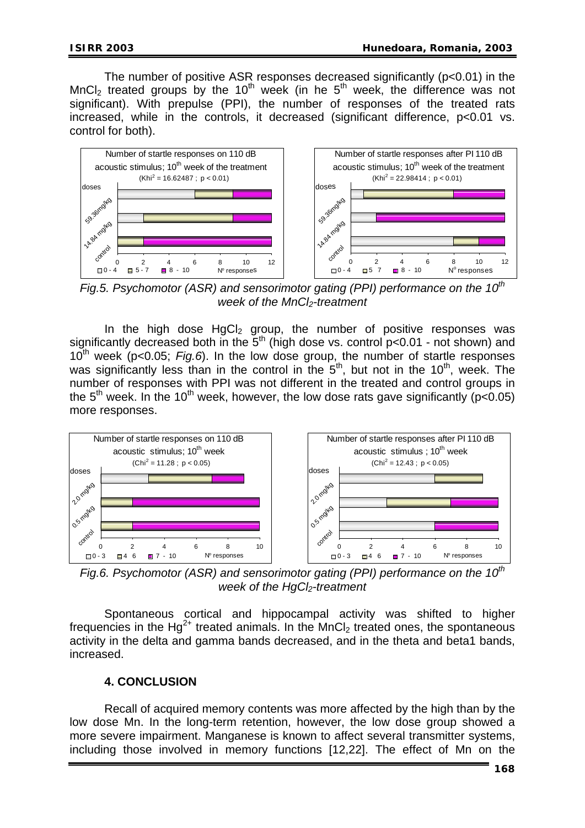The number of positive ASR responses decreased significantly (p<0.01) in the MnCl<sub>2</sub> treated groups by the 10<sup>th</sup> week (in he  $5<sup>th</sup>$  week, the difference was not significant). With prepulse (PPI), the number of responses of the treated rats increased, while in the controls, it decreased (significant difference, p<0.01 vs. control for both).



*Fig.5. Psychomotor (ASR) and sensorimotor gating (PPI) performance on the 10<sup>th</sup> week of the MnCl<sub>2</sub>-treatment* 

In the high dose  $HgCl<sub>2</sub>$  group, the number of positive responses was significantly decreased both in the  $5<sup>th</sup>$  (high dose vs. control p<0.01 - not shown) and 10th week (p<0.05; *Fig.6*). In the low dose group, the number of startle responses was significantly less than in the control in the  $5<sup>th</sup>$ , but not in the 10<sup>th</sup>, week. The number of responses with PPI was not different in the treated and control groups in the  $5<sup>th</sup>$  week. In the 10<sup>th</sup> week, however, the low dose rats gave significantly (p<0.05) more responses.



*Fig.6. Psychomotor (ASR) and sensorimotor gating (PPI) performance on the 10<sup>th</sup> week of the HgCl<sub>2</sub>-treatment* 

Spontaneous cortical and hippocampal activity was shifted to higher frequencies in the Hg<sup>2+</sup> treated animals. In the MnCl<sub>2</sub> treated ones, the spontaneous activity in the delta and gamma bands decreased, and in the theta and beta1 bands, increased.

## **4. CONCLUSION**

Recall of acquired memory contents was more affected by the high than by the low dose Mn. In the long-term retention, however, the low dose group showed a more severe impairment. Manganese is known to affect several transmitter systems, including those involved in memory functions [12,22]. The effect of Mn on the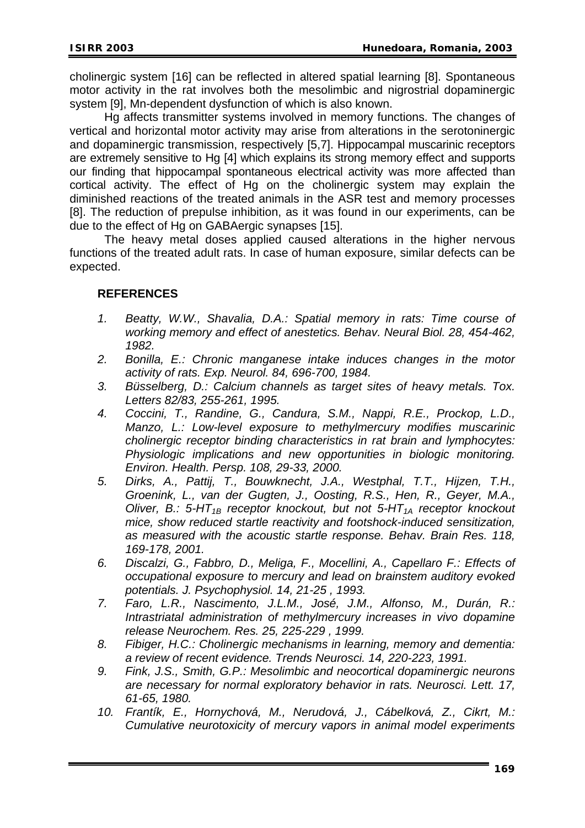cholinergic system [16] can be reflected in altered spatial learning [8]. Spontaneous motor activity in the rat involves both the mesolimbic and nigrostrial dopaminergic system [9], Mn-dependent dysfunction of which is also known.

Hg affects transmitter systems involved in memory functions. The changes of vertical and horizontal motor activity may arise from alterations in the serotoninergic and dopaminergic transmission, respectively [5,7]. Hippocampal muscarinic receptors are extremely sensitive to Hg [4] which explains its strong memory effect and supports our finding that hippocampal spontaneous electrical activity was more affected than cortical activity. The effect of Hg on the cholinergic system may explain the diminished reactions of the treated animals in the ASR test and memory processes [8]. The reduction of prepulse inhibition, as it was found in our experiments, can be due to the effect of Hg on GABAergic synapses [15].

The heavy metal doses applied caused alterations in the higher nervous functions of the treated adult rats. In case of human exposure, similar defects can be expected.

#### **REFERENCES**

- *1. Beatty, W.W., Shavalia, D.A.: Spatial memory in rats: Time course of working memory and effect of anestetics. Behav. Neural Biol. 28, 454-462, 1982.*
- *2. Bonilla, E.: Chronic manganese intake induces changes in the motor activity of rats. Exp. Neurol. 84, 696-700, 1984.*
- *3. Büsselberg, D.: Calcium channels as target sites of heavy metals. Tox. Letters 82/83, 255-261, 1995.*
- *4. Coccini, T., Randine, G., Candura, S.M., Nappi, R.E., Prockop, L.D., Manzo, L.: Low-level exposure to methylmercury modifies muscarinic cholinergic receptor binding characteristics in rat brain and lymphocytes: Physiologic implications and new opportunities in biologic monitoring. Environ. Health. Persp. 108, 29-33, 2000.*
- *5. Dirks, A., Pattij, T., Bouwknecht, J.A., Westphal, T.T., Hijzen, T.H., Groenink, L., van der Gugten, J., Oosting, R.S., Hen, R., Geyer, M.A., Oliver, B.: 5-HT<sub>1B</sub> receptor knockout, but not 5-HT<sub>1A</sub> receptor knockout mice, show reduced startle reactivity and footshock-induced sensitization, as measured with the acoustic startle response. Behav. Brain Res. 118, 169-178, 2001.*
- *6. Discalzi, G., Fabbro, D., Meliga, F., Mocellini, A., Capellaro F.: Effects of occupational exposure to mercury and lead on brainstem auditory evoked potentials. J. Psychophysiol. 14, 21-25 , 1993.*
- *7. Faro, L.R., Nascimento, J.L.M., José, J.M., Alfonso, M., Durán, R.: Intrastriatal administration of methylmercury increases in vivo dopamine release Neurochem. Res. 25, 225-229 , 1999.*
- *8. Fibiger, H.C.: Cholinergic mechanisms in learning, memory and dementia: a review of recent evidence. Trends Neurosci. 14, 220-223, 1991.*
- *9. Fink, J.S., Smith, G.P.: Mesolimbic and neocortical dopaminergic neurons are necessary for normal exploratory behavior in rats. Neurosci. Lett. 17, 61-65, 1980.*
- *10. Frantík, E., Hornychová, M., Nerudová, J., Cábelková, Z., Cikrt, M.: Cumulative neurotoxicity of mercury vapors in animal model experiments*